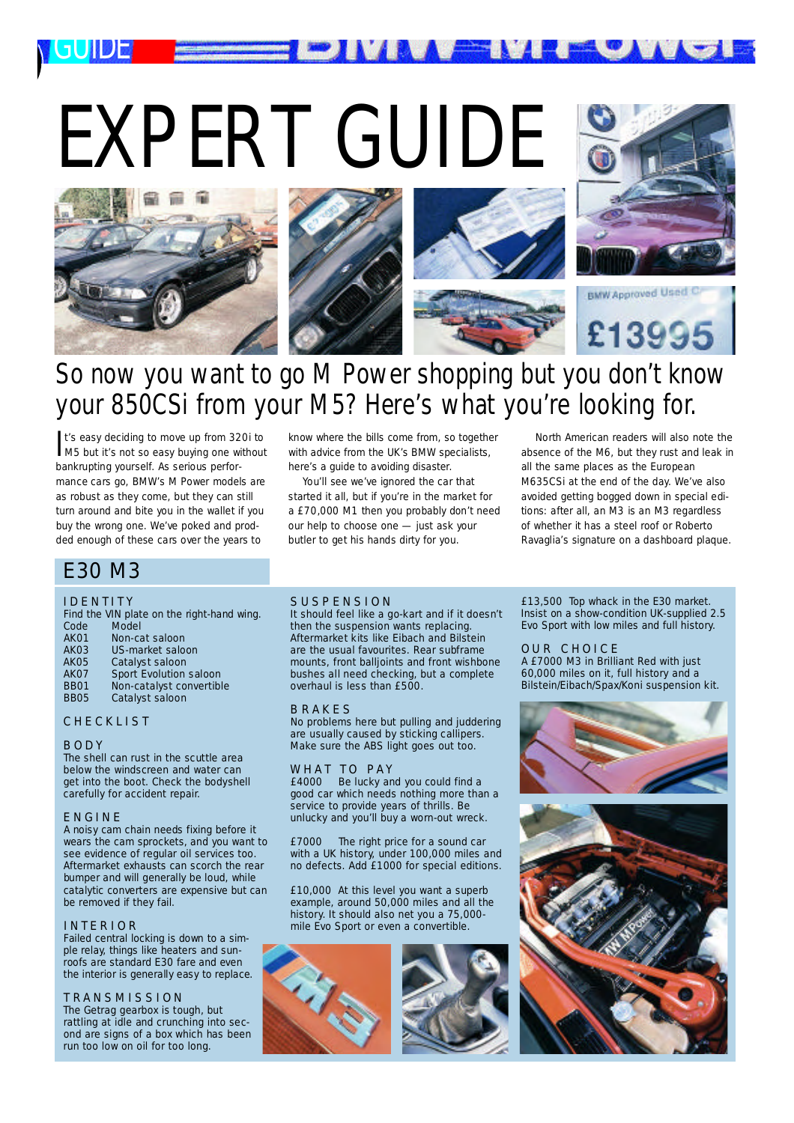



**INA EN** 

## So now you want to go M Power shopping but you don't know your 850CSi from your M5? Here's what you're looking for.

It's easy deciding to move up from 320i to<br>M5 but it's not so easy buying one without t's easy deciding to move up from 320i to bankrupting yourself. As serious performance cars go, BMW's M Power models are as robust as they come, but they can still turn around and bite you in the wallet if you buy the wrong one. We've poked and prodded enough of these cars over the years to

E30 M3

### **IDENTITY**

*G U I D E*

Find the VIN plate on the right-hand wing.<br>Code Model Code Model<br>AK01 Non-ca AK01 Non-cat saloon<br>AK03 US-market salo AK03 US-market saloon<br>AK05 Catalyst saloon AK05 Catalyst saloon<br>AK07 Sport Evolution AK 07 Sport Evolution saloon<br>RR01 Non-catalyst convertible **BB01** Non-catalyst convertible Catalyst saloon

#### **CHECKLIST**

#### B O D Y

The shell can rust in the scuttle area below the windscreen and water can get into the boot. Check the bodyshell carefully for accident repair.

#### E N G I N E

A noisy cam chain needs fixing before it wears the cam sprockets, and you want to see evidence of regular oil services too. Aftermarket exhausts can scorch the rear bumper and will generally be loud, while catalytic converters are expensive but can be removed if they fail.

#### I N T E R I O R

Failed central locking is down to a simple relay, things like heaters and sunroofs are standard E30 fare and even the interior is generally easy to replace.

#### T R A N S M I S S I O N

The Getrag gearbox is tough, but rattling at idle and crunching into second are signs of a box which has been run too low on oil for too long.

know where the bills come from, so together with advice from the UK's BMW specialists, here's a guide to avoiding disaster.

You'll see we've ignored the car that started it all, but if you're in the market for a £70,000 M1 then you probably don't need our help to choose one — just ask your butler to get his hands dirty for you.

North American readers will also note the absence of the M6, but they rust and leak in all the same places as the European M635CSi at the end of the day. We've also avoided getting bogged down in special editions: after all, an M3 is an M3 regardless of whether it has a steel roof or Roberto Ravaglia's signature on a dashboard plaque.

#### SUSPENSION

It should feel like a go-kart and if it doesn't then the suspension wants replacing. Aftermarket kits like Eibach and Bilstein are the usual favourites. Rear subframe mounts, front balljoints and front wishbone bushes all need checking, but a complete overhaul is less than £500.

#### **B R A K E S**

No problems here but pulling and juddering are usually caused by sticking callipers. Make sure the ABS light goes out too.

## W H A T T O P A Y<br>£4000 Be lucky an

Be lucky and you could find a good car which needs nothing more than a service to provide years of thrills. Be unlucky and you'll buy a worn-out wreck.

£7000 The right price for a sound car with a UK history, under 100,000 miles and no defects. Add £1000 for special editions.

£10,000 At this level you want a superb example, around 50,000 miles and all the history. It should also net you a 75,000mile Evo Sport or even a convertible.





£13,500 Top whack in the E30 market. Insist on a show-condition UK-supplied 2.5 Evo Sport with low miles and full history.

#### OUR CHOICE

A £7000 M3 in Brilliant Red with just 60,000 miles on it, full history and a Bilstein/Eibach/Spax/Koni suspension kit.



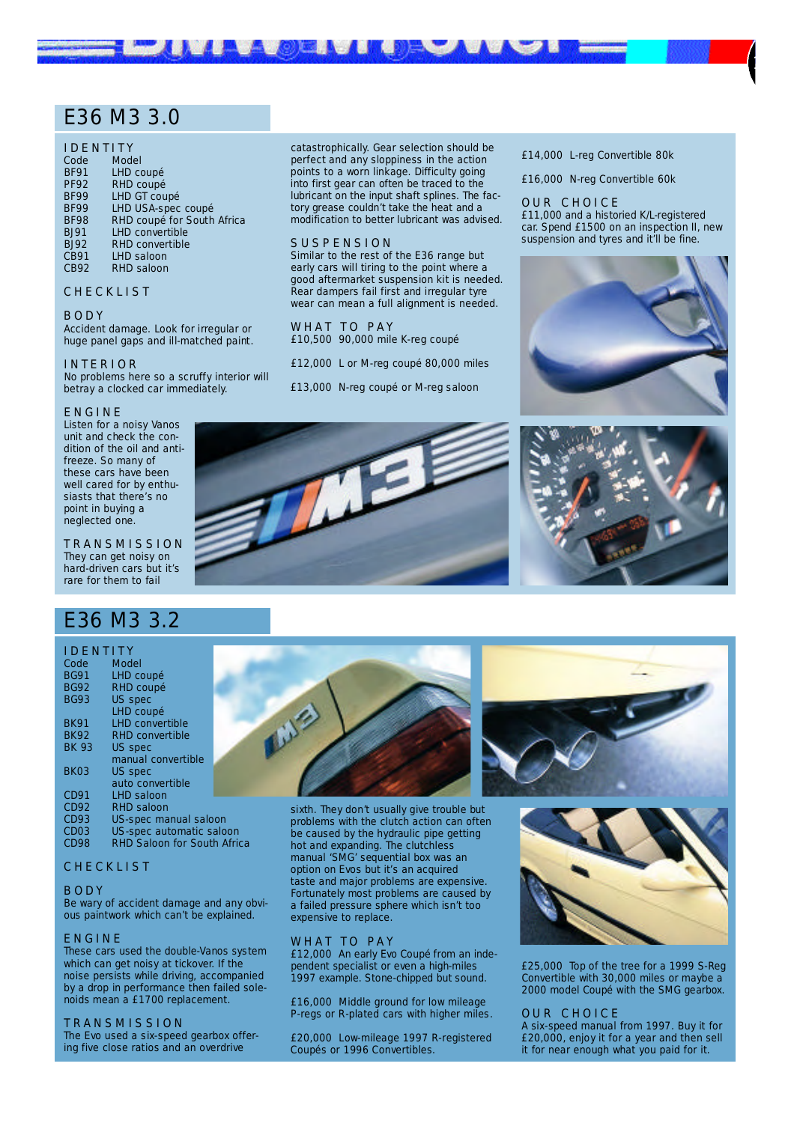## E36 M3 3.0

#### I D E N T I T Y

| Code        | <b>Model</b>               |
|-------------|----------------------------|
| <b>BF91</b> | LHD coupé                  |
| <b>PF92</b> | RHD coupé                  |
| <b>BF99</b> | <b>LHD GT coupé</b>        |
| <b>BF99</b> | <b>LHD USA-spec coupé</b>  |
| <b>BF98</b> | RHD coupé for South Africa |
| <b>BJ91</b> | <b>LHD convertible</b>     |
| <b>BJ92</b> | <b>RHD convertible</b>     |
| <b>CB91</b> | <b>LHD saloon</b>          |
| <b>CB92</b> | <b>RHD saloon</b>          |
|             |                            |

#### **CHECKLIST**

#### B O D Y

Accident damage. Look for irregular or huge panel gaps and ill-matched paint.

#### I N T E R I O R

No problems here so a scruffy interior will betray a clocked car immediately.

#### E N G I N E

Listen for a noisy Vanos unit and check the condition of the oil and antifreeze. So many of these cars have been well cared for by enthusiasts that there's no point in buying a neglected one.

T R A N S M I S S I O N They can get noisy on hard-driven cars but it's rare for them to fail

## E36 M3 3.2

#### I D E N T I T Y

| Code             | <b>Model</b>                       |  |
|------------------|------------------------------------|--|
| <b>BG91</b>      | LHD coupé                          |  |
| <b>BG92</b>      | <b>RHD coupé</b>                   |  |
| <b>BG93</b>      | <b>US spec</b>                     |  |
|                  | LHD coupé                          |  |
| <b>BK91</b>      | <b>LHD convertible</b>             |  |
| <b>BK92</b>      | <b>RHD convertible</b>             |  |
| <b>BK 93</b>     | <b>US spec</b>                     |  |
|                  | manual convertible                 |  |
| <b>BK03</b>      | <b>US spec</b>                     |  |
|                  | auto convertible                   |  |
| <b>CD91</b>      | <b>LHD saloon</b>                  |  |
| <b>CD92</b>      | <b>RHD saloon</b>                  |  |
| CD93             | US-spec manual saloon              |  |
| CD <sub>03</sub> | US-spec automatic saloon           |  |
| <b>CD98</b>      | <b>RHD Saloon for South Africa</b> |  |

#### C H E C K L I S T

#### B O D Y

Be wary of accident damage and any obvious paintwork which can't be explained.

#### E N G I N E

These cars used the double-Vanos system which can get noisy at tickover. If the noise persists while driving, accompanied by a drop in performance then failed solenoids mean a £1700 replacement.

#### T R A N S M I S S I O N

The Evo used a six-speed gearbox offering five close ratios and an overdrive

catastrophically. Gear selection should be perfect and any sloppiness in the action points to a worn linkage. Difficulty going into first gear can often be traced to the lubricant on the input shaft splines. The factory grease couldn't take the heat and a modification to better lubricant was advised.

#### SUSPENSION

**BACTER STATE** 

Similar to the rest of the E36 range but early cars will tiring to the point where a good aftermarket suspension kit is needed. Rear dampers fail first and irregular tyre wear can mean a full alignment is needed.

WHAT TO PAY £10,500 90,000 mile K-reg coupé

£12,000 L or M-reg coupé 80,000 miles

£13,000 N-reg coupé or M-reg saloon



£16,000 N-reg Convertible 60k

#### OUR CHOICE

£11,000 and a historied K/L-registered car. Spend £1500 on an inspection II, new suspension and tyres and it'll be fine.

1







sixth. They don't usually give trouble but problems with the clutch action can often be caused by the hydraulic pipe getting hot and expanding. The clutchless manual 'SMG' sequential box was an option on Evos but it's an acquired taste and major problems are expensive. Fortunately most problems are caused by a failed pressure sphere which isn't too expensive to replace.

#### WHAT TO PAY

£12,000 An early Evo Coupé from an independent specialist or even a high-miles 1997 example. Stone-chipped but sound.

£16,000 Middle ground for low mileage P-regs or R-plated cars with higher miles.

£20,000 Low-mileage 1997 R-registered Coupés or 1996 Convertibles.





£25,000 Top of the tree for a 1999 S-Reg Convertible with 30,000 miles or maybe a 2000 model Coupé with the SMG gearbox.

#### OUR CHOICE

A six-speed manual from 1997. Buy it for £20,000, enjoy it for a year and then sell it for near enough what you paid for it.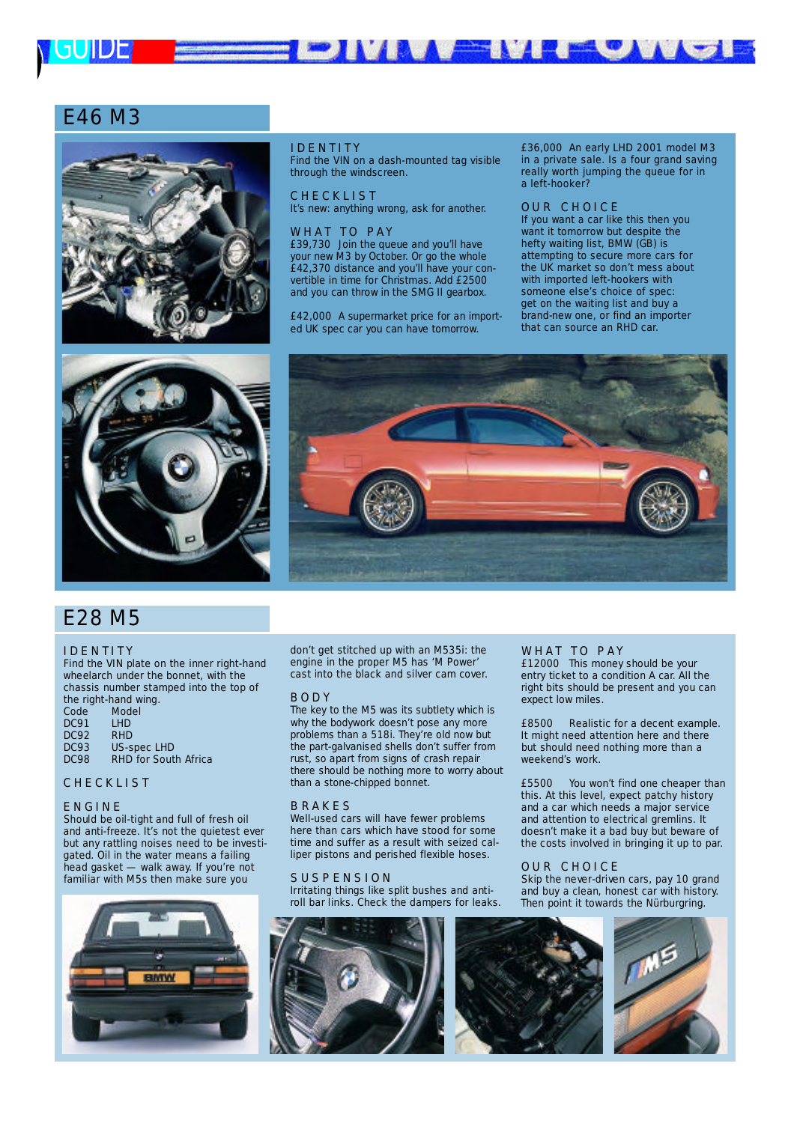

## E46 M3





#### I D E N T I T Y

Find the VIN on a dash-mounted tag visible through the windscreen.

**CHECKLIST** It's new: anything wrong, ask for another.

#### WHAT TO PAY

£39,730 Join the queue and you'll have your new M3 by October. Or go the whole £42,370 distance and you'll have your convertible in time for Christmas. Add £2500 and you can throw in the SMG II gearbox.

£42,000 A supermarket price for an imported UK spec car you can have tomorrow.

£36,000 An early LHD 2001 model M3 in a private sale. Is a four grand saving really worth jumping the queue for in a left-hooker?

#### O U R C H O I C E

If you want a car like this then you want it tomorrow but despite the hefty waiting list, BMW (GB) is attempting to secure more cars for the UK market so don't mess about with imported left-hookers with someone else's choice of spec: get on the waiting list and buy a brand-new one, or find an importer that can source an RHD car.



**IVAAA ENTEUM** 

## E28 M5

#### **I D E N T I T Y**

Find the VIN plate on the inner right-hand wheelarch under the bonnet, with the chassis number stamped into the top of the right-hand wing.

| <b>Model</b>                |
|-----------------------------|
| <b>LHD</b>                  |
| <b>RHD</b>                  |
| <b>US-spec LHD</b>          |
| <b>RHD for South Africa</b> |
|                             |

#### **CHECKLIST**

#### E N G I N E

Should be oil-tight and full of fresh oil and anti-freeze. It's not the quietest ever but any rattling noises need to be investigated. Oil in the water means a failing head gasket — walk away. If you're not familiar with M5s then make sure you



don't get stitched up with an M535i: the engine in the proper M5 has 'M Power' cast into the black and silver cam cover.

#### B O D Y

The key to the M5 was its subtlety which is why the bodywork doesn't pose any more problems than a 518i. They're old now but the part-galvanised shells don't suffer from rust, so apart from signs of crash repair there should be nothing more to worry about than a stone-chipped bonnet.

#### **B RAKES**

Well-used cars will have fewer problems here than cars which have stood for some time and suffer as a result with seized calliper pistons and perished flexible hoses.

#### SUSPENSION

Irritating things like split bushes and antiroll bar links. Check the dampers for leaks.



#### WHAT TO PAY

£12000 This money should be your entry ticket to a condition A car. All the right bits should be present and you can expect low miles.

£8500 Realistic for a decent example. It might need attention here and there but should need nothing more than a weekend's work.

£5500 You won't find one cheaper than this. At this level, expect patchy history and a car which needs a major service and attention to electrical gremlins. It doesn't make it a bad buy but beware of the costs involved in bringing it up to par.

#### OUR CHOICE

Skip the never-driven cars, pay 10 grand and buy a clean, honest car with history. Then point it towards the Nürburgring.



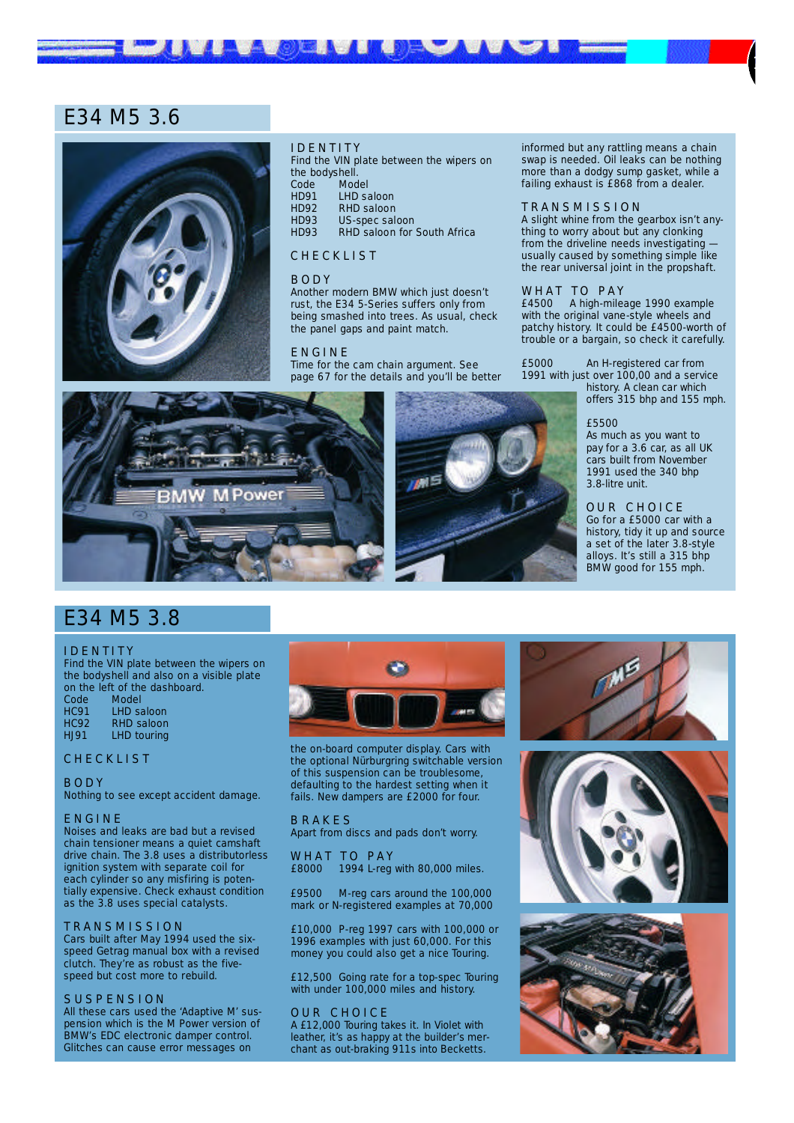## E34 M5 3.6



#### I D E N T I T Y

onen Le

Find the VIN plate between the wipers on the bodyshell.<br>Code Mod Code Model<br>HD91 LHD sa HD91 LHD saloon HD92 RHD saloon<br>HD93 US-spec sal HD93 US-spec saloon<br>HD93 RHD saloon for RHD saloon for South Africa

#### **CHECKLIST**

#### B O D Y

Another modern BMW which just doesn't rust, the E34 5-Series suffers only from being smashed into trees. As usual, check the panel gaps and paint match.

#### E N G I N E

Time for the cam chain argument. See page 67 for the details and you'll be better

Power w

informed but any rattling means a chain swap is needed. Oil leaks can be nothing more than a dodgy sump gasket, while a failing exhaust is £868 from a dealer.

1

#### T R A N S M I S S I O N

A slight whine from the gearbox isn't anything to worry about but any clonking from the driveline needs investigating usually caused by something simple like the rear universal joint in the propshaft.

#### WHAT TO PAY

£4500 A high-mileage 1990 example with the original vane-style wheels and patchy history. It could be £4500-worth of trouble or a bargain, so check it carefully.

£ 5 0 0 0 An H-registered car from 1991 with just over  $100,00$  and a service history. A clean car which

offers 315 bhp and 155 mph.

#### £5500

As much as you want to pay for a 3.6 car, as all UK cars built from November 1991 used the 340 bhp 3.8-litre unit.

OUR CHOICE Go for a £5000 car with a history, tidy it up and source a set of the later 3.8-style alloys. It's still a 315 bhp BMW good for 155 mph.

## E34 M5 3.8

#### **I D E N T I T Y**

Find the VIN plate between the wipers on the bodyshell and also on a visible plate on the left of the dashboard.<br>Code Model

Code<br>HC91 HC91 LHD saloon<br>HC92 RHD saloon HC92 RHD saloon<br>HJ91 LHD touring LHD touring

#### **CHECKLIST**

B O D Y Nothing to see except accident damage.

#### E N G I N E

Noises and leaks are bad but a revised chain tensioner means a quiet camshaft drive chain. The 3.8 uses a distributorless ignition system with separate coil for each cylinder so any misfiring is potentially expensive. Check exhaust condition as the 3.8 uses special catalysts.

#### T R A N S M I S S I O N

Cars built after May 1994 used the sixspeed Getrag manual box with a revised clutch. They're as robust as the fivespeed but cost more to rebuild.

#### SUSPENSION

All these cars used the 'Adaptive M' suspension which is the M Power version of BMW's EDC electronic damper control. Glitches can cause error messages on



the on-board computer display. Cars with the optional Nürburgring switchable version of this suspension can be troublesome, defaulting to the hardest setting when it fails. New dampers are £2000 for four.

#### **B R A K E S**

Apart from discs and pads don't worry.

W H A T T O P A Y<br>£8000 1994 L-req 1994 L-reg with 80,000 miles.

£9500 M-reg cars around the 100,000 mark or N-registered examples at 70,000

£10,000 P-reg 1997 cars with 100,000 or 1996 examples with just 60,000. For this money you could also get a nice Touring.

£12,500 Going rate for a top-spec Touring with under 100,000 miles and history.

#### OUR CHOICE

A £12,000 Touring takes it. In Violet with leather, it's as happy at the builder's merchant as out-braking 911s into Becketts.





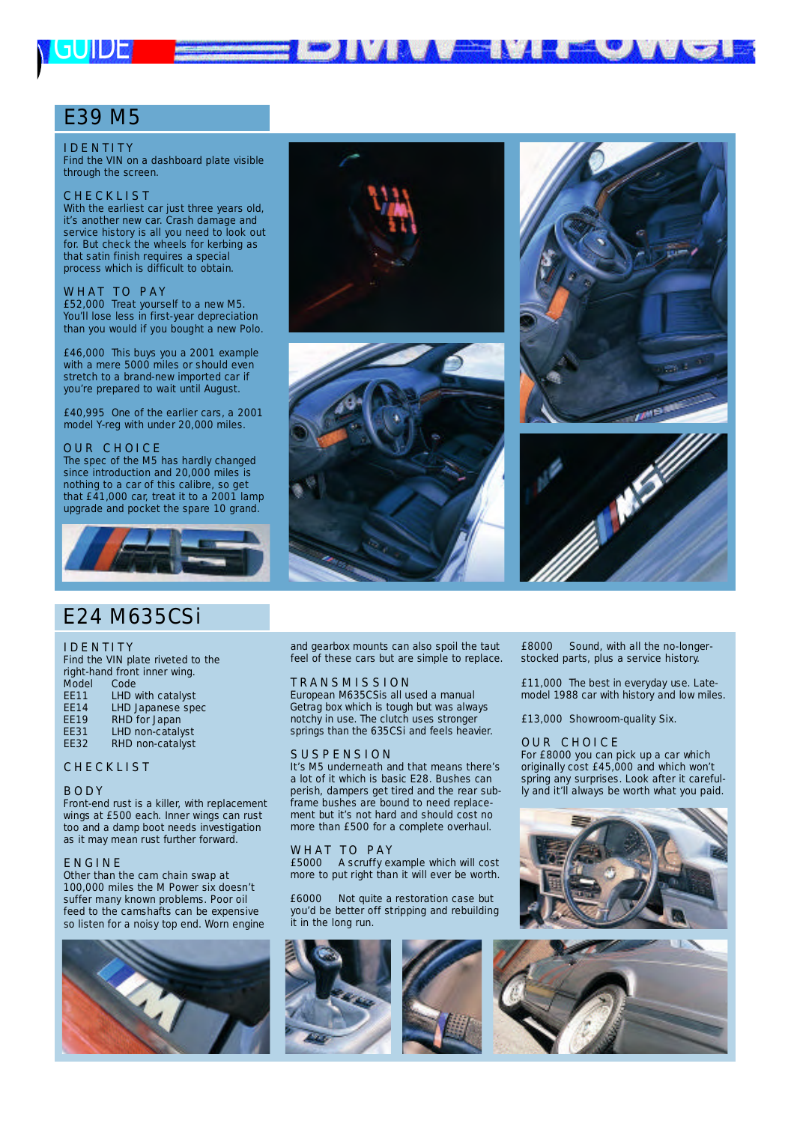# *G U I D E*

## E39 M5

#### I D E N T I T Y

Find the VIN on a dashboard plate visible through the screen.

#### **CHECKLIST**

With the earliest car just three years old, it's another new car. Crash damage and service history is all you need to look out for. But check the wheels for kerbing as that satin finish requires a special process which is difficult to obtain.

W H A T T O P A Y £52,000 Treat yourself to a new M5. You'll lose less in first-year depreciation than you would if you bought a new Polo.

£46,000 This buys you a 2001 example with a mere 5000 miles or should even stretch to a brand-new imported car if you're prepared to wait until August.

£40,995 One of the earlier cars, a 2001 model Y-reg with under 20,000 miles.

#### OUR CHOICE

The spec of the M5 has hardly changed since introduction and 20,000 miles is nothing to a car of this calibre, so get that £41,000 car, treat it to a 2001 lamp upgrade and pocket the spare 10 grand.



## E24 M635CSi

#### **IDENTITY**

Find the VIN plate riveted to the right-hand front inner wing.

- Model Code<br>EE11 LHD
- EE11 LHD with catalyst<br>EE14 LHD Japanese spo LHD Japanese spec
- EE19 RHD for Japan
- EE31 LHD non-catalyst
- EE32 RHD non-catalyst

#### **CHECKLIST**

#### **BODY**

Front-end rust is a killer, with replacement wings at £500 each. Inner wings can rust too and a damp boot needs investigation as it may mean rust further forward.

#### E N G I N E

Other than the cam chain swap at 100,000 miles the M Power six doesn't suffer many known problems. Poor oil feed to the camshafts can be expensive so listen for a noisy top end. Worn engine



and gearbox mounts can also spoil the taut feel of these cars but are simple to replace.

**MAA** EEN A

#### T R A N S M I S S I O N

European M635CSis all used a manual Getrag box which is tough but was always notchy in use. The clutch uses stronger springs than the 635CSi and feels heavier.

#### SUSPENSION

It's M5 underneath and that means there's a lot of it which is basic E28. Bushes can perish, dampers get tired and the rear subframe bushes are bound to need replacement but it's not hard and should cost no more than £500 for a complete overhaul.

#### WHAT TO PAY

£5000 A scruffy example which will cost more to put right than it will ever be worth.

£6000 Not quite a restoration case but you'd be better off stripping and rebuilding it in the long run.







**TELETION** 

£8000 Sound, with all the no-longerstocked parts, plus a service history.

£11,000 The best in everyday use. Latemodel 1988 car with history and low miles.

£13,000 Showroom-quality Six.

#### **OUR CHOICE**

For £8000 you can pick up a car which originally cost £45,000 and which won't spring any surprises. Look after it carefully and it'll always be worth what you paid.